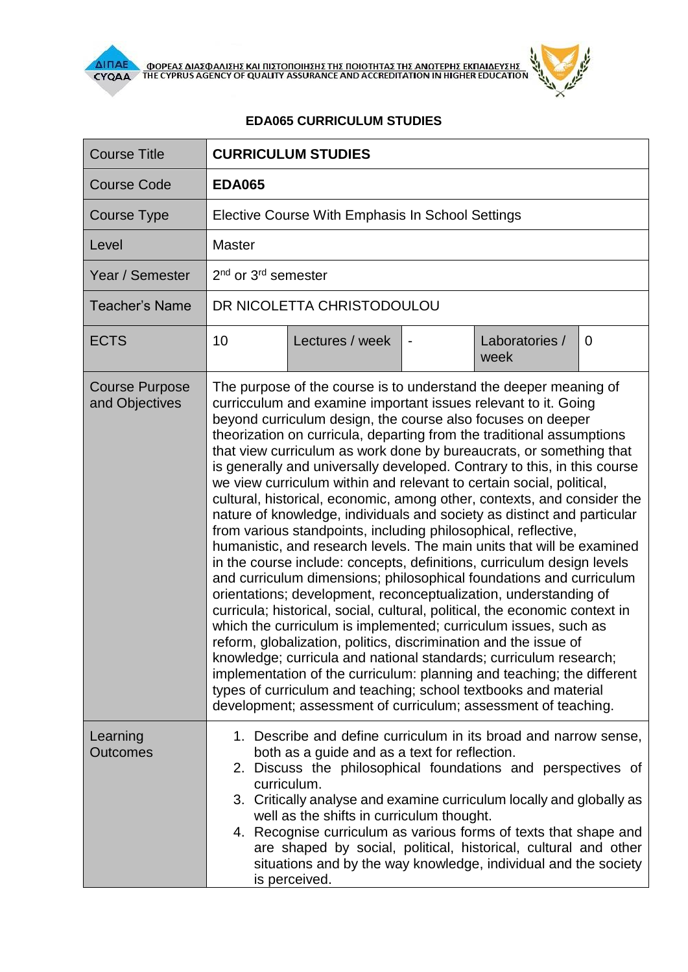

**AIFIAE A OOPEAE AIAE DANIERE KAI ΠΙΣΤΟΠΟΙΗΣΗΣ ΤΗΣ ΠΟΙΟΤΗΤΑΣ ΤΗΣ ΑΝΩΤΕΡΗΣ ΕΚΠΑΙΔΕΥΣΗΣ** 

 $\mathbf{r}$ 

## **EDA065 CURRICULUM STUDIES**

| <b>Course Title</b>                     | <b>CURRICULUM STUDIES</b>                                                                                                                                                                                                                                                                                                                                                                                                                                                                                                                                                                                                                                                                                                                                                                                                                                                                                                                                                                                                                                                                                                                                                                                                                                                                                                                                                                                                                                                                                                             |                 |  |                        |             |  |
|-----------------------------------------|---------------------------------------------------------------------------------------------------------------------------------------------------------------------------------------------------------------------------------------------------------------------------------------------------------------------------------------------------------------------------------------------------------------------------------------------------------------------------------------------------------------------------------------------------------------------------------------------------------------------------------------------------------------------------------------------------------------------------------------------------------------------------------------------------------------------------------------------------------------------------------------------------------------------------------------------------------------------------------------------------------------------------------------------------------------------------------------------------------------------------------------------------------------------------------------------------------------------------------------------------------------------------------------------------------------------------------------------------------------------------------------------------------------------------------------------------------------------------------------------------------------------------------------|-----------------|--|------------------------|-------------|--|
| <b>Course Code</b>                      | <b>EDA065</b>                                                                                                                                                                                                                                                                                                                                                                                                                                                                                                                                                                                                                                                                                                                                                                                                                                                                                                                                                                                                                                                                                                                                                                                                                                                                                                                                                                                                                                                                                                                         |                 |  |                        |             |  |
| <b>Course Type</b>                      | Elective Course With Emphasis In School Settings                                                                                                                                                                                                                                                                                                                                                                                                                                                                                                                                                                                                                                                                                                                                                                                                                                                                                                                                                                                                                                                                                                                                                                                                                                                                                                                                                                                                                                                                                      |                 |  |                        |             |  |
| Level                                   | <b>Master</b>                                                                                                                                                                                                                                                                                                                                                                                                                                                                                                                                                                                                                                                                                                                                                                                                                                                                                                                                                                                                                                                                                                                                                                                                                                                                                                                                                                                                                                                                                                                         |                 |  |                        |             |  |
| Year / Semester                         | 2 <sup>nd</sup> or 3 <sup>rd</sup> semester                                                                                                                                                                                                                                                                                                                                                                                                                                                                                                                                                                                                                                                                                                                                                                                                                                                                                                                                                                                                                                                                                                                                                                                                                                                                                                                                                                                                                                                                                           |                 |  |                        |             |  |
| <b>Teacher's Name</b>                   | DR NICOLETTA CHRISTODOULOU                                                                                                                                                                                                                                                                                                                                                                                                                                                                                                                                                                                                                                                                                                                                                                                                                                                                                                                                                                                                                                                                                                                                                                                                                                                                                                                                                                                                                                                                                                            |                 |  |                        |             |  |
| <b>ECTS</b>                             | 10                                                                                                                                                                                                                                                                                                                                                                                                                                                                                                                                                                                                                                                                                                                                                                                                                                                                                                                                                                                                                                                                                                                                                                                                                                                                                                                                                                                                                                                                                                                                    | Lectures / week |  | Laboratories /<br>week | $\mathbf 0$ |  |
| <b>Course Purpose</b><br>and Objectives | The purpose of the course is to understand the deeper meaning of<br>curricculum and examine important issues relevant to it. Going<br>beyond curriculum design, the course also focuses on deeper<br>theorization on curricula, departing from the traditional assumptions<br>that view curriculum as work done by bureaucrats, or something that<br>is generally and universally developed. Contrary to this, in this course<br>we view curriculum within and relevant to certain social, political,<br>cultural, historical, economic, among other, contexts, and consider the<br>nature of knowledge, individuals and society as distinct and particular<br>from various standpoints, including philosophical, reflective,<br>humanistic, and research levels. The main units that will be examined<br>in the course include: concepts, definitions, curriculum design levels<br>and curriculum dimensions; philosophical foundations and curriculum<br>orientations; development, reconceptualization, understanding of<br>curricula; historical, social, cultural, political, the economic context in<br>which the curriculum is implemented; curriculum issues, such as<br>reform, globalization, politics, discrimination and the issue of<br>knowledge; curricula and national standards; curriculum research;<br>implementation of the curriculum: planning and teaching; the different<br>types of curriculum and teaching; school textbooks and material<br>development; assessment of curriculum; assessment of teaching. |                 |  |                        |             |  |
| Learning<br><b>Outcomes</b>             | 1. Describe and define curriculum in its broad and narrow sense,<br>both as a guide and as a text for reflection.<br>Discuss the philosophical foundations and perspectives of<br>2.<br>curriculum.<br>3. Critically analyse and examine curriculum locally and globally as<br>well as the shifts in curriculum thought.<br>4. Recognise curriculum as various forms of texts that shape and<br>are shaped by social, political, historical, cultural and other<br>situations and by the way knowledge, individual and the society<br>is perceived.                                                                                                                                                                                                                                                                                                                                                                                                                                                                                                                                                                                                                                                                                                                                                                                                                                                                                                                                                                                   |                 |  |                        |             |  |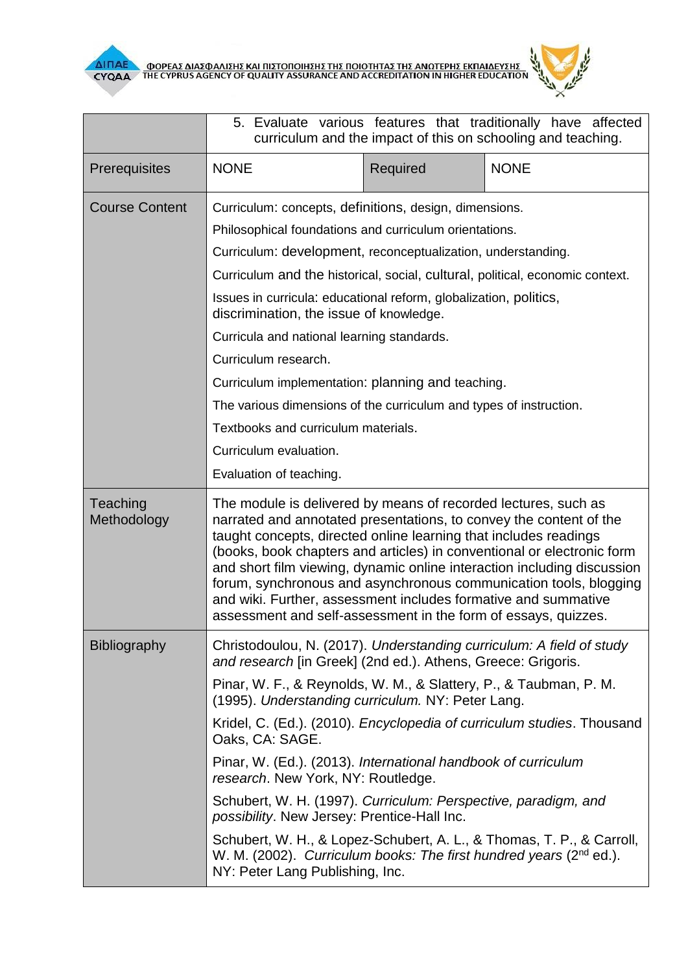



|                         | 5. Evaluate various features that traditionally have affected<br>curriculum and the impact of this on schooling and teaching.                                                                                                                                                                                                                                                                                                                                                                                                                                                                                                                                                  |          |                                                                                                                                                         |  |  |
|-------------------------|--------------------------------------------------------------------------------------------------------------------------------------------------------------------------------------------------------------------------------------------------------------------------------------------------------------------------------------------------------------------------------------------------------------------------------------------------------------------------------------------------------------------------------------------------------------------------------------------------------------------------------------------------------------------------------|----------|---------------------------------------------------------------------------------------------------------------------------------------------------------|--|--|
| Prerequisites           | <b>NONE</b>                                                                                                                                                                                                                                                                                                                                                                                                                                                                                                                                                                                                                                                                    | Required | <b>NONE</b>                                                                                                                                             |  |  |
| <b>Course Content</b>   | Curriculum: concepts, definitions, design, dimensions.<br>Philosophical foundations and curriculum orientations.<br>Curriculum: development, reconceptualization, understanding.<br>Curriculum and the historical, social, cultural, political, economic context.<br>Issues in curricula: educational reform, globalization, politics,<br>discrimination, the issue of knowledge.<br>Curricula and national learning standards.<br>Curriculum research.<br>Curriculum implementation: planning and teaching.<br>The various dimensions of the curriculum and types of instruction.<br>Textbooks and curriculum materials.<br>Curriculum evaluation.<br>Evaluation of teaching. |          |                                                                                                                                                         |  |  |
|                         |                                                                                                                                                                                                                                                                                                                                                                                                                                                                                                                                                                                                                                                                                |          |                                                                                                                                                         |  |  |
| Teaching<br>Methodology | The module is delivered by means of recorded lectures, such as<br>narrated and annotated presentations, to convey the content of the<br>taught concepts, directed online learning that includes readings<br>(books, book chapters and articles) in conventional or electronic form<br>and short film viewing, dynamic online interaction including discussion<br>forum, synchronous and asynchronous communication tools, blogging<br>and wiki. Further, assessment includes formative and summative<br>assessment and self-assessment in the form of essays, quizzes.                                                                                                         |          |                                                                                                                                                         |  |  |
| Bibliography            | Christodoulou, N. (2017). Understanding curriculum: A field of study<br>and research [in Greek] (2nd ed.). Athens, Greece: Grigoris.<br>Pinar, W. F., & Reynolds, W. M., & Slattery, P., & Taubman, P. M.<br>(1995). Understanding curriculum. NY: Peter Lang.<br>Oaks, CA: SAGE.<br>Pinar, W. (Ed.). (2013). International handbook of curriculum<br>research. New York, NY: Routledge.<br>Schubert, W. H. (1997). Curriculum: Perspective, paradigm, and<br>possibility. New Jersey: Prentice-Hall Inc.<br>W. M. (2002). Curriculum books: The first hundred years ( $2nd$ ed.).<br>NY: Peter Lang Publishing, Inc.                                                          |          | Kridel, C. (Ed.). (2010). <i>Encyclopedia of curriculum studies</i> . Thousand<br>Schubert, W. H., & Lopez-Schubert, A. L., & Thomas, T. P., & Carroll, |  |  |